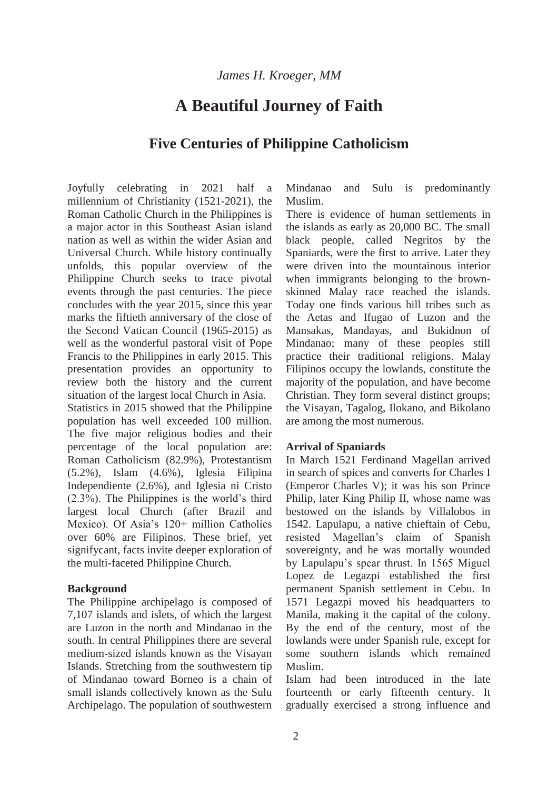# **A Beautiful Journey of Faith**

## **Five Centuries of Philippine Catholicism**

Joyfully celebrating in 2021 half a millennium of Christianity (1521-2021), the Roman Catholic Church in the Philippines is a major actor in this Southeast Asian island nation as well as within the wider Asian and Universal Church. While history continually unfolds, this popular overview of the Philippine Church seeks to trace pivotal events through the past centuries. The piece concludes with the year 2015, since this year marks the fiftieth anniversary of the close of the Second Vatican Council (1965-2015) as well as the wonderful pastoral visit of Pope Francis to the Philippines in early 2015. This presentation provides an opportunity to review both the history and the current situation of the largest local Church in Asia.

Statistics in 2015 showed that the Philippine population has well exceeded 100 million. The five major religious bodies and their percentage of the local population are: Roman Catholicism (82.9%), Protestantism (5.2%), Islam (4.6%), Iglesia Filipina Independiente (2.6%), and Iglesia ni Cristo (2.3%). The Philippines is the world's third largest local Church (after Brazil and Mexico). Of Asia's 120+ million Catholics over 60% are Filipinos. These brief, yet signifycant, facts invite deeper exploration of the multi-faceted Philippine Church.

#### **Background**

The Philippine archipelago is composed of 7,107 islands and islets, of which the largest are Luzon in the north and Mindanao in the south. In central Philippines there are several medium-sized islands known as the Visayan Islands. Stretching from the southwestern tip of Mindanao toward Borneo is a chain of small islands collectively known as the Sulu Archipelago. The population of southwestern Mindanao and Sulu is predominantly Muslim.

There is evidence of human settlements in the islands as early as 20,000 BC. The small black people, called Negritos by the Spaniards, were the first to arrive. Later they were driven into the mountainous interior when immigrants belonging to the brownskinned Malay race reached the islands. Today one finds various hill tribes such as the Aetas and Ifugao of Luzon and the Mansakas, Mandayas, and Bukidnon of Mindanao; many of these peoples still practice their traditional religions. Malay Filipinos occupy the lowlands, constitute the majority of the population, and have become Christian. They form several distinct groups; the Visayan, Tagalog, Ilokano, and Bikolano are among the most numerous.

#### **Arrival of Spaniards**

In March 1521 Ferdinand Magellan arrived in search of spices and converts for Charles I (Emperor Charles V); it was his son Prince Philip, later King Philip II, whose name was bestowed on the islands by Villalobos in 1542. Lapulapu, a native chieftain of Cebu, resisted Magellan's claim of Spanish sovereignty, and he was mortally wounded by Lapulapu's spear thrust. In 1565 Miguel Lopez de Legazpi established the first permanent Spanish settlement in Cebu. In 1571 Legazpi moved his headquarters to Manila, making it the capital of the colony. By the end of the century, most of the lowlands were under Spanish rule, except for some southern islands which remained Muslim.

Islam had been introduced in the late fourteenth or early fifteenth century. It gradually exercised a strong influence and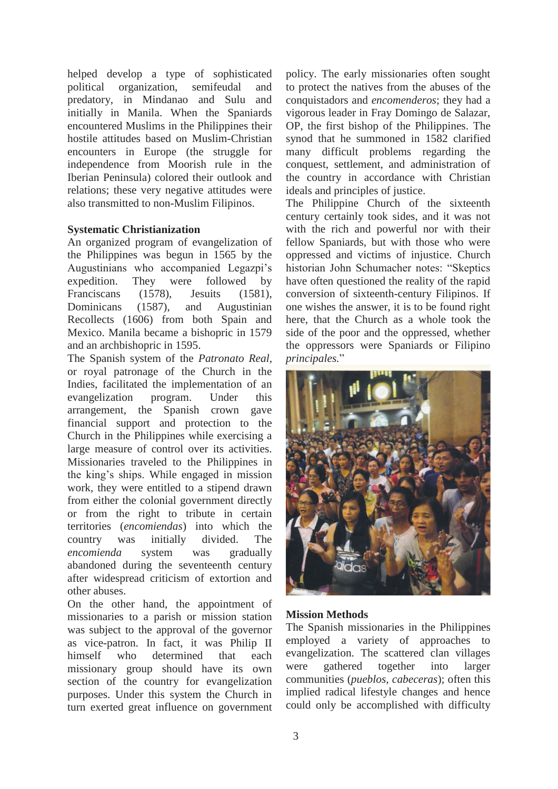helped develop a type of sophisticated political organization, semifeudal and predatory, in Mindanao and Sulu and initially in Manila. When the Spaniards encountered Muslims in the Philippines their hostile attitudes based on Muslim-Christian encounters in Europe (the struggle for independence from Moorish rule in the Iberian Peninsula) colored their outlook and relations; these very negative attitudes were also transmitted to non-Muslim Filipinos.

#### **Systematic Christianization**

An organized program of evangelization of the Philippines was begun in 1565 by the Augustinians who accompanied Legazpi's expedition. They were followed by Franciscans (1578), Jesuits (1581), Dominicans (1587), and Augustinian Recollects (1606) from both Spain and Mexico. Manila became a bishopric in 1579 and an archbishopric in 1595.

The Spanish system of the *Patronato Real*, or royal patronage of the Church in the Indies, facilitated the implementation of an evangelization program. Under this arrangement, the Spanish crown gave financial support and protection to the Church in the Philippines while exercising a large measure of control over its activities. Missionaries traveled to the Philippines in the king's ships. While engaged in mission work, they were entitled to a stipend drawn from either the colonial government directly or from the right to tribute in certain territories (*encomiendas*) into which the country was initially divided. The *encomienda* system was gradually abandoned during the seventeenth century after widespread criticism of extortion and other abuses.

On the other hand, the appointment of missionaries to a parish or mission station was subject to the approval of the governor as vice-patron. In fact, it was Philip II himself who determined that each missionary group should have its own section of the country for evangelization purposes. Under this system the Church in turn exerted great influence on government policy. The early missionaries often sought to protect the natives from the abuses of the conquistadors and *encomenderos*; they had a vigorous leader in Fray Domingo de Salazar, OP, the first bishop of the Philippines. The synod that he summoned in 1582 clarified many difficult problems regarding the conquest, settlement, and administration of the country in accordance with Christian ideals and principles of justice.

The Philippine Church of the sixteenth century certainly took sides, and it was not with the rich and powerful nor with their fellow Spaniards, but with those who were oppressed and victims of injustice. Church historian John Schumacher notes: "Skeptics have often questioned the reality of the rapid conversion of sixteenth-century Filipinos. If one wishes the answer, it is to be found right here, that the Church as a whole took the side of the poor and the oppressed, whether the oppressors were Spaniards or Filipino *principales.*"



#### **Mission Methods**

The Spanish missionaries in the Philippines employed a variety of approaches to evangelization. The scattered clan villages were gathered together into larger communities (*pueblos, cabeceras*); often this implied radical lifestyle changes and hence could only be accomplished with difficulty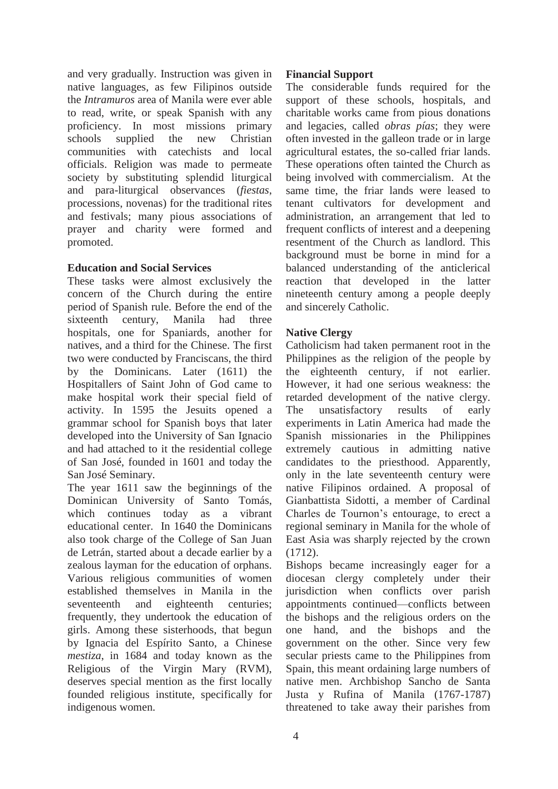and very gradually. Instruction was given in native languages, as few Filipinos outside the *Intramuros* area of Manila were ever able to read, write, or speak Spanish with any proficiency. In most missions primary schools supplied the new Christian communities with catechists and local officials. Religion was made to permeate society by substituting splendid liturgical and para-liturgical observances (*fiestas*, processions, novenas) for the traditional rites and festivals; many pious associations of prayer and charity were formed and promoted.

## **Education and Social Services**

These tasks were almost exclusively the concern of the Church during the entire period of Spanish rule. Before the end of the sixteenth century, Manila had three hospitals, one for Spaniards, another for natives, and a third for the Chinese. The first two were conducted by Franciscans, the third by the Dominicans. Later (1611) the Hospitallers of Saint John of God came to make hospital work their special field of activity. In 1595 the Jesuits opened a grammar school for Spanish boys that later developed into the University of San Ignacio and had attached to it the residential college of San José, founded in 1601 and today the San José Seminary.

The year 1611 saw the beginnings of the Dominican University of Santo Tomás, which continues today as a vibrant educational center. In 1640 the Dominicans also took charge of the College of San Juan de Letrán, started about a decade earlier by a zealous layman for the education of orphans. Various religious communities of women established themselves in Manila in the seventeenth and eighteenth centuries; frequently, they undertook the education of girls. Among these sisterhoods, that begun by Ignacia del Espírito Santo, a Chinese *mestiza*, in 1684 and today known as the Religious of the Virgin Mary (RVM), deserves special mention as the first locally founded religious institute, specifically for indigenous women.

## **Financial Support**

The considerable funds required for the support of these schools, hospitals, and charitable works came from pious donations and legacies, called *obras pías*; they were often invested in the galleon trade or in large agricultural estates, the so-called friar lands. These operations often tainted the Church as being involved with commercialism. At the same time, the friar lands were leased to tenant cultivators for development and administration, an arrangement that led to frequent conflicts of interest and a deepening resentment of the Church as landlord. This background must be borne in mind for a balanced understanding of the anticlerical reaction that developed in the latter nineteenth century among a people deeply and sincerely Catholic.

## **Native Clergy**

Catholicism had taken permanent root in the Philippines as the religion of the people by the eighteenth century, if not earlier. However, it had one serious weakness: the retarded development of the native clergy. The unsatisfactory results of early experiments in Latin America had made the Spanish missionaries in the Philippines extremely cautious in admitting native candidates to the priesthood. Apparently, only in the late seventeenth century were native Filipinos ordained. A proposal of Gianbattista Sidotti, a member of Cardinal Charles de Tournon's entourage, to erect a regional seminary in Manila for the whole of East Asia was sharply rejected by the crown (1712).

Bishops became increasingly eager for a diocesan clergy completely under their jurisdiction when conflicts over parish appointments continued—conflicts between the bishops and the religious orders on the one hand, and the bishops and the government on the other. Since very few secular priests came to the Philippines from Spain, this meant ordaining large numbers of native men. Archbishop Sancho de Santa Justa y Rufina of Manila (1767-1787) threatened to take away their parishes from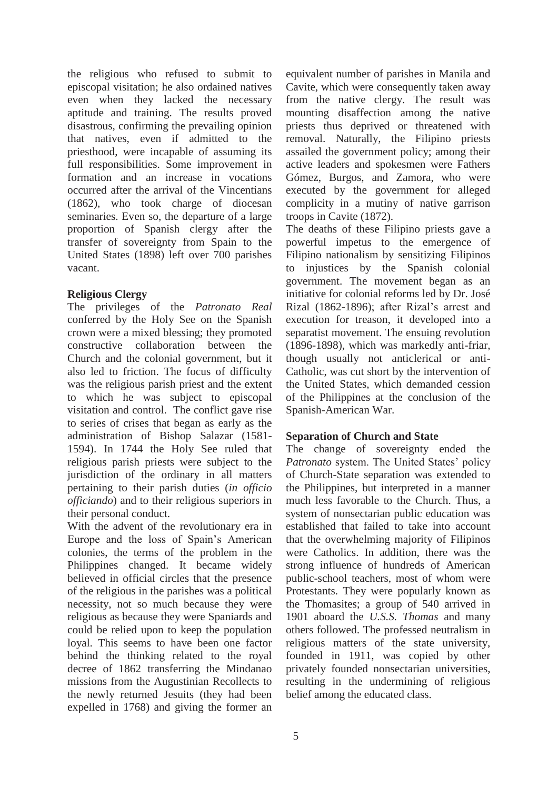the religious who refused to submit to episcopal visitation; he also ordained natives even when they lacked the necessary aptitude and training. The results proved disastrous, confirming the prevailing opinion that natives, even if admitted to the priesthood, were incapable of assuming its full responsibilities. Some improvement in formation and an increase in vocations occurred after the arrival of the Vincentians (1862), who took charge of diocesan seminaries. Even so, the departure of a large proportion of Spanish clergy after the transfer of sovereignty from Spain to the United States (1898) left over 700 parishes vacant.

## **Religious Clergy**

The privileges of the *Patronato Real* conferred by the Holy See on the Spanish crown were a mixed blessing; they promoted constructive collaboration between the Church and the colonial government, but it also led to friction. The focus of difficulty was the religious parish priest and the extent to which he was subject to episcopal visitation and control. The conflict gave rise to series of crises that began as early as the administration of Bishop Salazar (1581- 1594). In 1744 the Holy See ruled that religious parish priests were subject to the jurisdiction of the ordinary in all matters pertaining to their parish duties (*in officio officiando*) and to their religious superiors in their personal conduct.

With the advent of the revolutionary era in Europe and the loss of Spain's American colonies, the terms of the problem in the Philippines changed. It became widely believed in official circles that the presence of the religious in the parishes was a political necessity, not so much because they were religious as because they were Spaniards and could be relied upon to keep the population loyal. This seems to have been one factor behind the thinking related to the royal decree of 1862 transferring the Mindanao missions from the Augustinian Recollects to the newly returned Jesuits (they had been expelled in 1768) and giving the former an

equivalent number of parishes in Manila and Cavite, which were consequently taken away from the native clergy. The result was mounting disaffection among the native priests thus deprived or threatened with removal. Naturally, the Filipino priests assailed the government policy; among their active leaders and spokesmen were Fathers Gómez, Burgos, and Zamora, who were executed by the government for alleged complicity in a mutiny of native garrison troops in Cavite (1872).

The deaths of these Filipino priests gave a powerful impetus to the emergence of Filipino nationalism by sensitizing Filipinos to injustices by the Spanish colonial government. The movement began as an initiative for colonial reforms led by Dr. José Rizal (1862-1896); after Rizal's arrest and execution for treason, it developed into a separatist movement. The ensuing revolution (1896-1898), which was markedly anti-friar, though usually not anticlerical or anti-Catholic, was cut short by the intervention of the United States, which demanded cession of the Philippines at the conclusion of the Spanish-American War.

#### **Separation of Church and State**

The change of sovereignty ended the *Patronato* system. The United States' policy of Church-State separation was extended to the Philippines, but interpreted in a manner much less favorable to the Church. Thus, a system of nonsectarian public education was established that failed to take into account that the overwhelming majority of Filipinos were Catholics. In addition, there was the strong influence of hundreds of American public-school teachers, most of whom were Protestants. They were popularly known as the Thomasites; a group of 540 arrived in 1901 aboard the *U.S.S. Thomas* and many others followed. The professed neutralism in religious matters of the state university, founded in 1911, was copied by other privately founded nonsectarian universities, resulting in the undermining of religious belief among the educated class.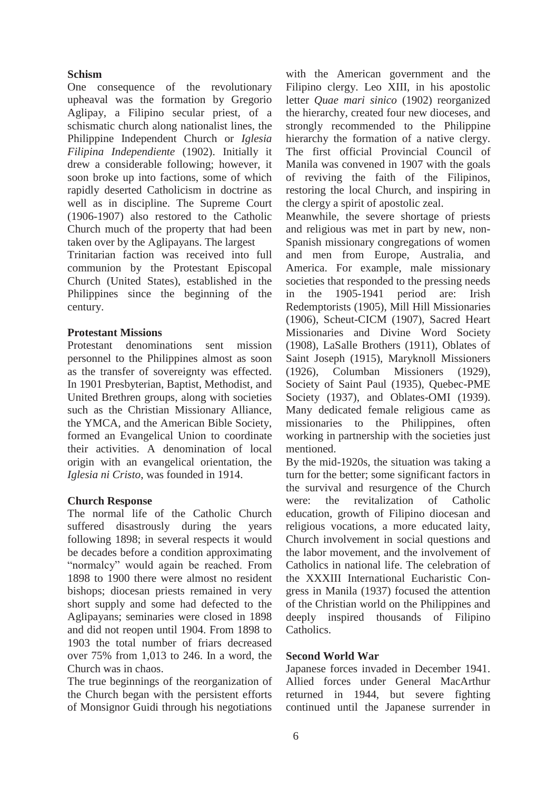## **Schism**

One consequence of the revolutionary upheaval was the formation by Gregorio Aglipay, a Filipino secular priest, of a schismatic church along nationalist lines, the Philippine Independent Church or *Iglesia Filipina Independiente* (1902). Initially it drew a considerable following; however, it soon broke up into factions, some of which rapidly deserted Catholicism in doctrine as well as in discipline. The Supreme Court (1906-1907) also restored to the Catholic Church much of the property that had been taken over by the Aglipayans. The largest

Trinitarian faction was received into full communion by the Protestant Episcopal Church (United States), established in the Philippines since the beginning of the century.

## **Protestant Missions**

Protestant denominations sent mission personnel to the Philippines almost as soon as the transfer of sovereignty was effected. In 1901 Presbyterian, Baptist, Methodist, and United Brethren groups, along with societies such as the Christian Missionary Alliance, the YMCA, and the American Bible Society, formed an Evangelical Union to coordinate their activities. A denomination of local origin with an evangelical orientation, the *Iglesia ni Cristo*, was founded in 1914.

#### **Church Response**

The normal life of the Catholic Church suffered disastrously during the years following 1898; in several respects it would be decades before a condition approximating "normalcy" would again be reached. From 1898 to 1900 there were almost no resident bishops; diocesan priests remained in very short supply and some had defected to the Aglipayans; seminaries were closed in 1898 and did not reopen until 1904. From 1898 to 1903 the total number of friars decreased over 75% from 1,013 to 246. In a word, the Church was in chaos.

The true beginnings of the reorganization of the Church began with the persistent efforts of Monsignor Guidi through his negotiations with the American government and the Filipino clergy. Leo XIII, in his apostolic letter *Quae mari sinico* (1902) reorganized the hierarchy, created four new dioceses, and strongly recommended to the Philippine hierarchy the formation of a native clergy. The first official Provincial Council of Manila was convened in 1907 with the goals of reviving the faith of the Filipinos, restoring the local Church, and inspiring in the clergy a spirit of apostolic zeal.

Meanwhile, the severe shortage of priests and religious was met in part by new, non-Spanish missionary congregations of women and men from Europe, Australia, and America. For example, male missionary societies that responded to the pressing needs in the 1905-1941 period are: Irish Redemptorists (1905), Mill Hill Missionaries (1906), Scheut-CICM (1907), Sacred Heart Missionaries and Divine Word Society (1908), LaSalle Brothers (1911), Oblates of Saint Joseph (1915), Maryknoll Missioners (1926), Columban Missioners (1929), Society of Saint Paul (1935), Quebec-PME Society (1937), and Oblates-OMI (1939). Many dedicated female religious came as missionaries to the Philippines, often working in partnership with the societies just mentioned.

By the mid-1920s, the situation was taking a turn for the better; some significant factors in the survival and resurgence of the Church were: the revitalization of Catholic education, growth of Filipino diocesan and religious vocations, a more educated laity, Church involvement in social questions and the labor movement, and the involvement of Catholics in national life. The celebration of the XXXIII International Eucharistic Congress in Manila (1937) focused the attention of the Christian world on the Philippines and deeply inspired thousands of Filipino Catholics.

#### **Second World War**

Japanese forces invaded in December 1941. Allied forces under General MacArthur returned in 1944, but severe fighting continued until the Japanese surrender in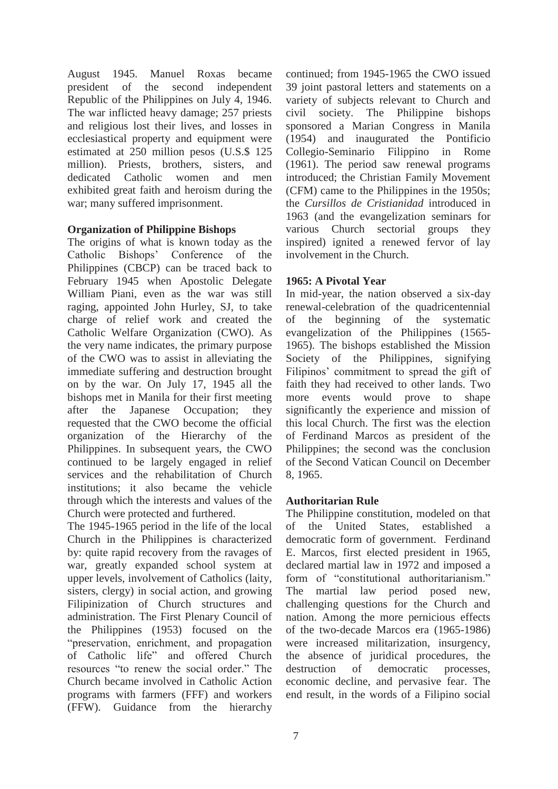August 1945. Manuel Roxas became president of the second independent Republic of the Philippines on July 4, 1946. The war inflicted heavy damage; 257 priests and religious lost their lives, and losses in ecclesiastical property and equipment were estimated at 250 million pesos (U.S.\$ 125 million). Priests, brothers, sisters, and dedicated Catholic women and men exhibited great faith and heroism during the war; many suffered imprisonment.

## **Organization of Philippine Bishops**

The origins of what is known today as the Catholic Bishops' Conference of the Philippines (CBCP) can be traced back to February 1945 when Apostolic Delegate William Piani, even as the war was still raging, appointed John Hurley, SJ, to take charge of relief work and created the Catholic Welfare Organization (CWO). As the very name indicates, the primary purpose of the CWO was to assist in alleviating the immediate suffering and destruction brought on by the war. On July 17, 1945 all the bishops met in Manila for their first meeting after the Japanese Occupation; they requested that the CWO become the official organization of the Hierarchy of the Philippines. In subsequent years, the CWO continued to be largely engaged in relief services and the rehabilitation of Church institutions; it also became the vehicle through which the interests and values of the Church were protected and furthered.

The 1945-1965 period in the life of the local Church in the Philippines is characterized by: quite rapid recovery from the ravages of war, greatly expanded school system at upper levels, involvement of Catholics (laity, sisters, clergy) in social action, and growing Filipinization of Church structures and administration. The First Plenary Council of the Philippines (1953) focused on the "preservation, enrichment, and propagation of Catholic life" and offered Church resources "to renew the social order." The Church became involved in Catholic Action programs with farmers (FFF) and workers (FFW). Guidance from the hierarchy continued; from 1945-1965 the CWO issued 39 joint pastoral letters and statements on a variety of subjects relevant to Church and civil society. The Philippine bishops sponsored a Marian Congress in Manila (1954) and inaugurated the Pontificio Collegio-Seminario Filippino in Rome (1961). The period saw renewal programs introduced; the Christian Family Movement (CFM) came to the Philippines in the 1950s; the *Cursillos de Cristianidad* introduced in 1963 (and the evangelization seminars for various Church sectorial groups they inspired) ignited a renewed fervor of lay involvement in the Church.

## **1965: A Pivotal Year**

In mid-year, the nation observed a six-day renewal-celebration of the quadricentennial of the beginning of the systematic evangelization of the Philippines (1565- 1965). The bishops established the Mission Society of the Philippines, signifying Filipinos' commitment to spread the gift of faith they had received to other lands. Two more events would prove to shape significantly the experience and mission of this local Church. The first was the election of Ferdinand Marcos as president of the Philippines; the second was the conclusion of the Second Vatican Council on December 8, 1965.

## **Authoritarian Rule**

The Philippine constitution, modeled on that of the United States, established a democratic form of government. Ferdinand E. Marcos, first elected president in 1965, declared martial law in 1972 and imposed a form of "constitutional authoritarianism." The martial law period posed new, challenging questions for the Church and nation. Among the more pernicious effects of the two-decade Marcos era (1965-1986) were increased militarization, insurgency, the absence of juridical procedures, the destruction of democratic processes, economic decline, and pervasive fear. The end result, in the words of a Filipino social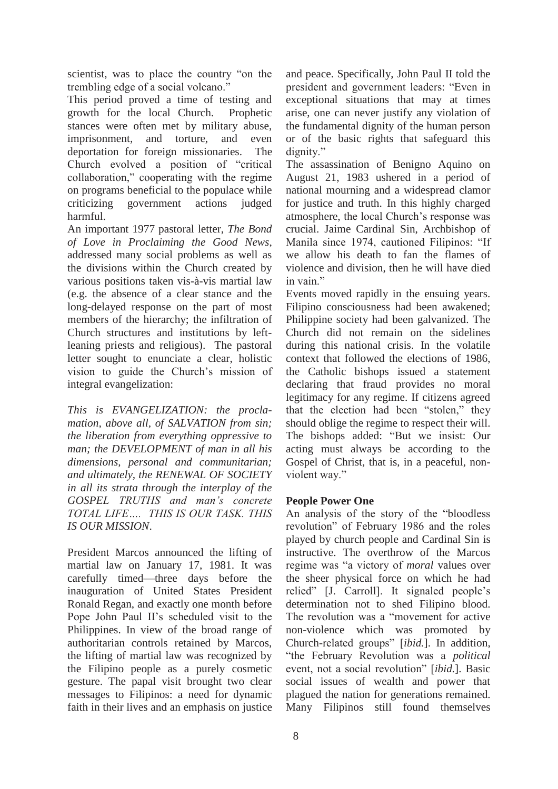scientist, was to place the country "on the trembling edge of a social volcano."

This period proved a time of testing and growth for the local Church. Prophetic stances were often met by military abuse, imprisonment, and torture, and even deportation for foreign missionaries. The Church evolved a position of "critical collaboration," cooperating with the regime on programs beneficial to the populace while criticizing government actions judged harmful.

An important 1977 pastoral letter, *The Bond of Love in Proclaiming the Good News*, addressed many social problems as well as the divisions within the Church created by various positions taken vis-à-vis martial law (e.g. the absence of a clear stance and the long-delayed response on the part of most members of the hierarchy; the infiltration of Church structures and institutions by leftleaning priests and religious). The pastoral letter sought to enunciate a clear, holistic vision to guide the Church's mission of integral evangelization:

*This is EVANGELIZATION: the proclamation, above all, of SALVATION from sin; the liberation from everything oppressive to man; the DEVELOPMENT of man in all his dimensions, personal and communitarian; and ultimately, the RENEWAL OF SOCIETY in all its strata through the interplay of the GOSPEL TRUTHS and man's concrete TOTAL LIFE…. THIS IS OUR TASK. THIS IS OUR MISSION*.

President Marcos announced the lifting of martial law on January 17, 1981. It was carefully timed—three days before the inauguration of United States President Ronald Regan, and exactly one month before Pope John Paul II's scheduled visit to the Philippines. In view of the broad range of authoritarian controls retained by Marcos, the lifting of martial law was recognized by the Filipino people as a purely cosmetic gesture. The papal visit brought two clear messages to Filipinos: a need for dynamic faith in their lives and an emphasis on justice and peace. Specifically, John Paul II told the president and government leaders: "Even in exceptional situations that may at times arise, one can never justify any violation of the fundamental dignity of the human person or of the basic rights that safeguard this dignity."

The assassination of Benigno Aquino on August 21, 1983 ushered in a period of national mourning and a widespread clamor for justice and truth. In this highly charged atmosphere, the local Church's response was crucial. Jaime Cardinal Sin, Archbishop of Manila since 1974, cautioned Filipinos: "If we allow his death to fan the flames of violence and division, then he will have died in vain."

Events moved rapidly in the ensuing years. Filipino consciousness had been awakened; Philippine society had been galvanized. The Church did not remain on the sidelines during this national crisis. In the volatile context that followed the elections of 1986, the Catholic bishops issued a statement declaring that fraud provides no moral legitimacy for any regime. If citizens agreed that the election had been "stolen," they should oblige the regime to respect their will. The bishops added: "But we insist: Our acting must always be according to the Gospel of Christ, that is, in a peaceful, nonviolent way."

## **People Power One**

An analysis of the story of the "bloodless revolution" of February 1986 and the roles played by church people and Cardinal Sin is instructive. The overthrow of the Marcos regime was "a victory of *moral* values over the sheer physical force on which he had relied" [J. Carroll]. It signaled people's determination not to shed Filipino blood. The revolution was a "movement for active non-violence which was promoted by Church-related groups" [*ibid.*]. In addition, "the February Revolution was a *political* event, not a social revolution" [*ibid.*]. Basic social issues of wealth and power that plagued the nation for generations remained. Many Filipinos still found themselves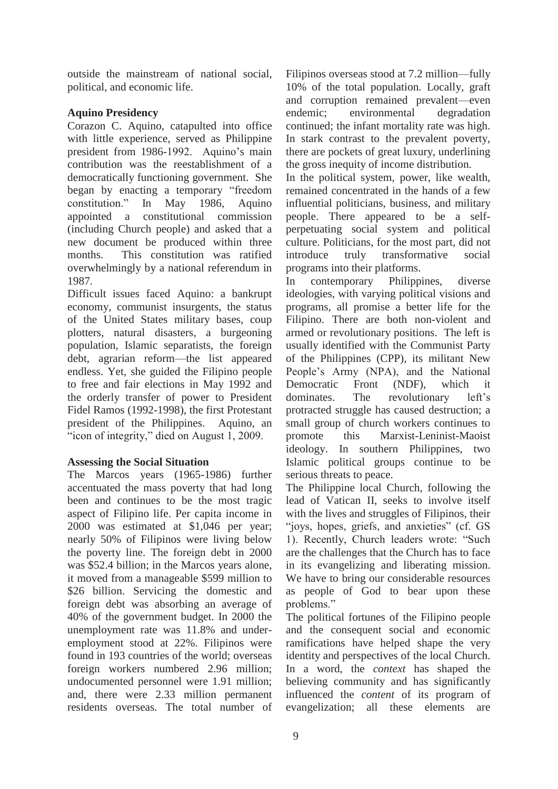outside the mainstream of national social, political, and economic life.

## **Aquino Presidency**

Corazon C. Aquino, catapulted into office with little experience, served as Philippine president from 1986-1992. Aquino's main contribution was the reestablishment of a democratically functioning government. She began by enacting a temporary "freedom constitution." In May 1986, Aquino appointed a constitutional commission (including Church people) and asked that a new document be produced within three months. This constitution was ratified overwhelmingly by a national referendum in 1987.

Difficult issues faced Aquino: a bankrupt economy, communist insurgents, the status of the United States military bases, coup plotters, natural disasters, a burgeoning population, Islamic separatists, the foreign debt, agrarian reform—the list appeared endless. Yet, she guided the Filipino people to free and fair elections in May 1992 and the orderly transfer of power to President Fidel Ramos (1992-1998), the first Protestant president of the Philippines. Aquino, an "icon of integrity," died on August 1, 2009.

## **Assessing the Social Situation**

The Marcos years (1965-1986) further accentuated the mass poverty that had long been and continues to be the most tragic aspect of Filipino life. Per capita income in 2000 was estimated at \$1,046 per year; nearly 50% of Filipinos were living below the poverty line. The foreign debt in 2000 was \$52.4 billion; in the Marcos years alone, it moved from a manageable \$599 million to \$26 billion. Servicing the domestic and foreign debt was absorbing an average of 40% of the government budget. In 2000 the unemployment rate was 11.8% and underemployment stood at 22%. Filipinos were found in 193 countries of the world; overseas foreign workers numbered 2.96 million; undocumented personnel were 1.91 million; and, there were 2.33 million permanent residents overseas. The total number of Filipinos overseas stood at 7.2 million—fully 10% of the total population. Locally, graft and corruption remained prevalent—even endemic; environmental degradation continued; the infant mortality rate was high. In stark contrast to the prevalent poverty, there are pockets of great luxury, underlining the gross inequity of income distribution.

In the political system, power, like wealth, remained concentrated in the hands of a few influential politicians, business, and military people. There appeared to be a selfperpetuating social system and political culture. Politicians, for the most part, did not introduce truly transformative social programs into their platforms.

In contemporary Philippines, diverse ideologies, with varying political visions and programs, all promise a better life for the Filipino. There are both non-violent and armed or revolutionary positions. The left is usually identified with the Communist Party of the Philippines (CPP), its militant New People's Army (NPA), and the National Democratic Front (NDF), which it dominates. The revolutionary left's protracted struggle has caused destruction; a small group of church workers continues to promote this Marxist-Leninist-Maoist ideology. In southern Philippines, two Islamic political groups continue to be serious threats to peace.

The Philippine local Church, following the lead of Vatican II, seeks to involve itself with the lives and struggles of Filipinos, their "joys, hopes, griefs, and anxieties" (cf. GS 1). Recently, Church leaders wrote: "Such are the challenges that the Church has to face in its evangelizing and liberating mission. We have to bring our considerable resources as people of God to bear upon these problems."

The political fortunes of the Filipino people and the consequent social and economic ramifications have helped shape the very identity and perspectives of the local Church. In a word, the *context* has shaped the believing community and has significantly influenced the *content* of its program of evangelization; all these elements are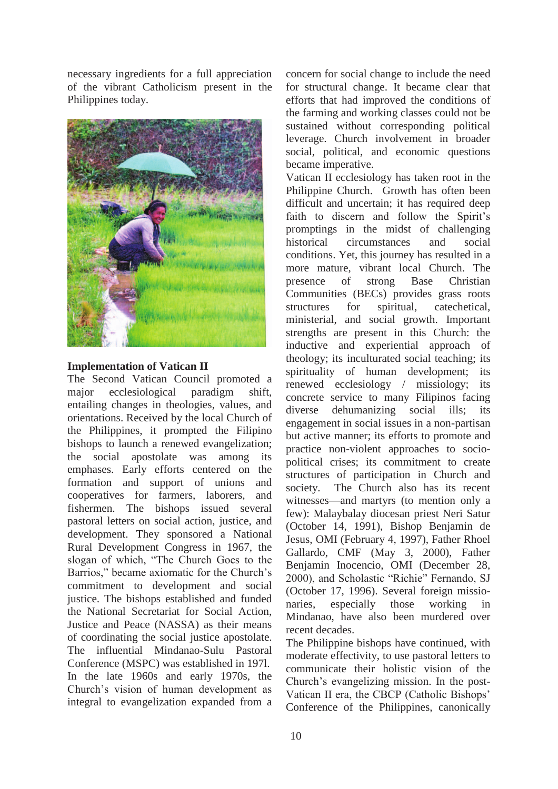necessary ingredients for a full appreciation of the vibrant Catholicism present in the Philippines today.



#### **Implementation of Vatican II**

The Second Vatican Council promoted a major ecclesiological paradigm shift, entailing changes in theologies, values, and orientations. Received by the local Church of the Philippines, it prompted the Filipino bishops to launch a renewed evangelization; the social apostolate was among its emphases. Early efforts centered on the formation and support of unions and cooperatives for farmers, laborers, and fishermen. The bishops issued several pastoral letters on social action, justice, and development. They sponsored a National Rural Development Congress in 1967, the slogan of which, "The Church Goes to the Barrios," became axiomatic for the Church's commitment to development and social justice. The bishops established and funded the National Secretariat for Social Action, Justice and Peace (NASSA) as their means of coordinating the social justice apostolate. The influential Mindanao-Sulu Pastoral Conference (MSPC) was established in 197l. In the late 1960s and early 1970s, the Church's vision of human development as integral to evangelization expanded from a concern for social change to include the need for structural change. It became clear that efforts that had improved the conditions of the farming and working classes could not be sustained without corresponding political leverage. Church involvement in broader social, political, and economic questions became imperative.

Vatican II ecclesiology has taken root in the Philippine Church. Growth has often been difficult and uncertain; it has required deep faith to discern and follow the Spirit's promptings in the midst of challenging historical circumstances and social conditions. Yet, this journey has resulted in a more mature, vibrant local Church. The presence of strong Base Christian Communities (BECs) provides grass roots structures for spiritual, catechetical, ministerial, and social growth. Important strengths are present in this Church: the inductive and experiential approach of theology; its inculturated social teaching; its spirituality of human development; its renewed ecclesiology / missiology; its concrete service to many Filipinos facing diverse dehumanizing social ills; its engagement in social issues in a non-partisan but active manner; its efforts to promote and practice non-violent approaches to sociopolitical crises; its commitment to create structures of participation in Church and society. The Church also has its recent witnesses—and martyrs (to mention only a few): Malaybalay diocesan priest Neri Satur (October 14, 1991), Bishop Benjamin de Jesus, OMI (February 4, 1997), Father Rhoel Gallardo, CMF (May 3, 2000), Father Benjamin Inocencio, OMI (December 28, 2000), and Scholastic "Richie" Fernando, SJ (October 17, 1996). Several foreign missionaries, especially those working in Mindanao, have also been murdered over recent decades.

The Philippine bishops have continued, with moderate effectivity, to use pastoral letters to communicate their holistic vision of the Church's evangelizing mission. In the post-Vatican II era, the CBCP (Catholic Bishops' Conference of the Philippines, canonically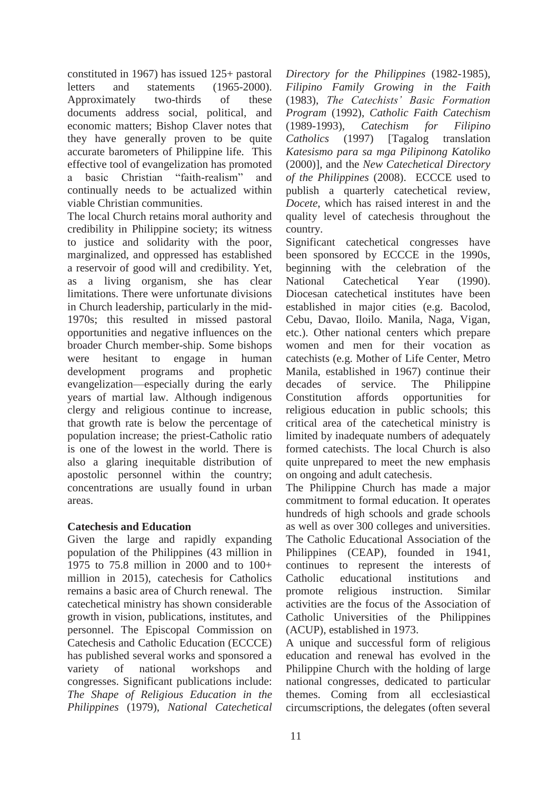constituted in 1967) has issued 125+ pastoral letters and statements (1965-2000). Approximately two-thirds of these documents address social, political, and economic matters; Bishop Claver notes that they have generally proven to be quite accurate barometers of Philippine life. This effective tool of evangelization has promoted a basic Christian "faith-realism" and continually needs to be actualized within viable Christian communities.

The local Church retains moral authority and credibility in Philippine society; its witness to justice and solidarity with the poor, marginalized, and oppressed has established a reservoir of good will and credibility. Yet, as a living organism, she has clear limitations. There were unfortunate divisions in Church leadership, particularly in the mid-1970s; this resulted in missed pastoral opportunities and negative influences on the broader Church member-ship. Some bishops were hesitant to engage in human development programs and prophetic evangelization—especially during the early years of martial law. Although indigenous clergy and religious continue to increase, that growth rate is below the percentage of population increase; the priest-Catholic ratio is one of the lowest in the world. There is also a glaring inequitable distribution of apostolic personnel within the country; concentrations are usually found in urban areas.

## **Catechesis and Education**

Given the large and rapidly expanding population of the Philippines (43 million in 1975 to 75.8 million in 2000 and to 100+ million in 2015), catechesis for Catholics remains a basic area of Church renewal. The catechetical ministry has shown considerable growth in vision, publications, institutes, and personnel. The Episcopal Commission on Catechesis and Catholic Education (ECCCE) has published several works and sponsored a variety of national workshops and congresses. Significant publications include: *The Shape of Religious Education in the Philippines* (1979), *National Catechetical* 

*Directory for the Philippines* (1982-1985), *Filipino Family Growing in the Faith* (1983), *The Catechists' Basic Formation Program* (1992), *Catholic Faith Catechism* (1989-1993), *Catechism for Filipino Catholics* (1997) [Tagalog translation *Katesismo para sa mga Pilipinong Katoliko* (2000)], and the *New Catechetical Directory of the Philippines* (2008). ECCCE used to publish a quarterly catechetical review, *Docete*, which has raised interest in and the quality level of catechesis throughout the country.

Significant catechetical congresses have been sponsored by ECCCE in the 1990s, beginning with the celebration of the National Catechetical Year (1990). Diocesan catechetical institutes have been established in major cities (e.g. Bacolod, Cebu, Davao, Iloilo. Manila, Naga, Vigan, etc.). Other national centers which prepare women and men for their vocation as catechists (e.g. Mother of Life Center, Metro Manila, established in 1967) continue their decades of service. The Philippine Constitution affords opportunities for religious education in public schools; this critical area of the catechetical ministry is limited by inadequate numbers of adequately formed catechists. The local Church is also quite unprepared to meet the new emphasis on ongoing and adult catechesis.

The Philippine Church has made a major commitment to formal education. It operates hundreds of high schools and grade schools as well as over 300 colleges and universities. The Catholic Educational Association of the Philippines (CEAP), founded in 1941, continues to represent the interests of Catholic educational institutions and promote religious instruction. Similar activities are the focus of the Association of Catholic Universities of the Philippines (ACUP), established in 1973.

A unique and successful form of religious education and renewal has evolved in the Philippine Church with the holding of large national congresses, dedicated to particular themes. Coming from all ecclesiastical circumscriptions, the delegates (often several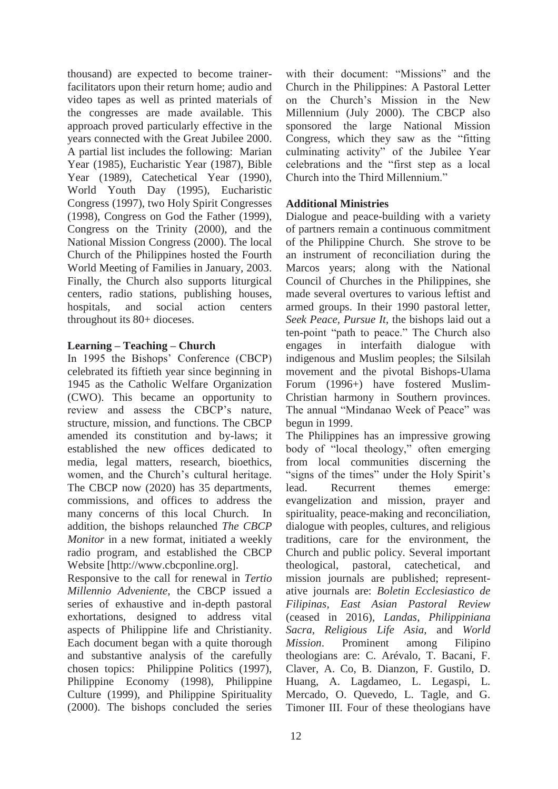thousand) are expected to become trainerfacilitators upon their return home; audio and video tapes as well as printed materials of the congresses are made available. This approach proved particularly effective in the years connected with the Great Jubilee 2000. A partial list includes the following: Marian Year (1985), Eucharistic Year (1987), Bible Year (1989), Catechetical Year (1990), World Youth Day (1995), Eucharistic Congress (1997), two Holy Spirit Congresses (1998), Congress on God the Father (1999), Congress on the Trinity (2000), and the National Mission Congress (2000). The local Church of the Philippines hosted the Fourth World Meeting of Families in January, 2003. Finally, the Church also supports liturgical centers, radio stations, publishing houses, hospitals, and social action centers throughout its 80+ dioceses.

## **Learning – Teaching – Church**

In 1995 the Bishops' Conference (CBCP) celebrated its fiftieth year since beginning in 1945 as the Catholic Welfare Organization (CWO). This became an opportunity to review and assess the CBCP's nature, structure, mission, and functions. The CBCP amended its constitution and by-laws; it established the new offices dedicated to media, legal matters, research, bioethics, women, and the Church's cultural heritage. The CBCP now (2020) has 35 departments, commissions, and offices to address the many concerns of this local Church. In addition, the bishops relaunched *The CBCP Monitor* in a new format, initiated a weekly radio program, and established the CBCP Website [http://www.cbcponline.org].

Responsive to the call for renewal in *Tertio Millennio Adveniente*, the CBCP issued a series of exhaustive and in-depth pastoral exhortations, designed to address vital aspects of Philippine life and Christianity. Each document began with a quite thorough and substantive analysis of the carefully chosen topics: Philippine Politics (1997), Philippine Economy (1998), Philippine Culture (1999), and Philippine Spirituality (2000). The bishops concluded the series

with their document: "Missions" and the Church in the Philippines: A Pastoral Letter on the Church's Mission in the New Millennium (July 2000). The CBCP also sponsored the large National Mission Congress, which they saw as the "fitting culminating activity" of the Jubilee Year celebrations and the "first step as a local Church into the Third Millennium."

## **Additional Ministries**

Dialogue and peace-building with a variety of partners remain a continuous commitment of the Philippine Church. She strove to be an instrument of reconciliation during the Marcos years; along with the National Council of Churches in the Philippines, she made several overtures to various leftist and armed groups. In their 1990 pastoral letter, *Seek Peace, Pursue It*, the bishops laid out a ten-point "path to peace." The Church also engages in interfaith dialogue with indigenous and Muslim peoples; the Silsilah movement and the pivotal Bishops-Ulama Forum (1996+) have fostered Muslim-Christian harmony in Southern provinces. The annual "Mindanao Week of Peace" was begun in 1999.

The Philippines has an impressive growing body of "local theology," often emerging from local communities discerning the "signs of the times" under the Holy Spirit's lead. Recurrent themes emerge: evangelization and mission, prayer and spirituality, peace-making and reconciliation, dialogue with peoples, cultures, and religious traditions, care for the environment, the Church and public policy. Several important theological, pastoral, catechetical, and mission journals are published; representative journals are: *Boletin Ecclesiastico de Filipinas, East Asian Pastoral Review* (ceased in 2016)*, Landas, Philippiniana Sacra, Religious Life Asia,* and *World Mission*. Prominent among Filipino theologians are: C. Arévalo, T. Bacani, F. Claver, A. Co, B. Dianzon, F. Gustilo, D. Huang, A. Lagdameo, L. Legaspi, L. Mercado, O. Quevedo, L. Tagle, and G. Timoner III. Four of these theologians have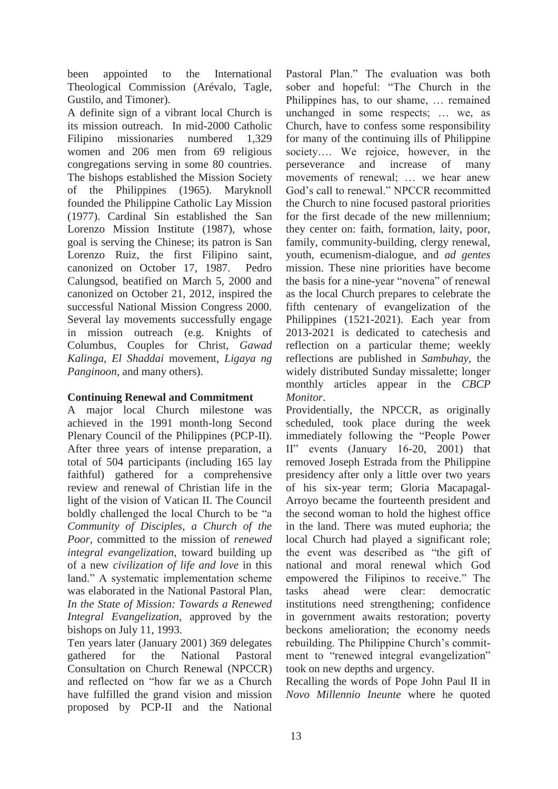been appointed to the International Theological Commission (Arévalo, Tagle, Gustilo, and Timoner).

A definite sign of a vibrant local Church is its mission outreach. In mid-2000 Catholic Filipino missionaries numbered 1,329 women and 206 men from 69 religious congregations serving in some 80 countries. The bishops established the Mission Society of the Philippines (1965). Maryknoll founded the Philippine Catholic Lay Mission (1977). Cardinal Sin established the San Lorenzo Mission Institute (1987), whose goal is serving the Chinese; its patron is San Lorenzo Ruiz, the first Filipino saint, canonized on October 17, 1987. Pedro Calungsod, beatified on March 5, 2000 and canonized on October 21, 2012, inspired the successful National Mission Congress 2000. Several lay movements successfully engage in mission outreach (e.g. Knights of Columbus, Couples for Christ, *Gawad Kalinga*, *El Shaddai* movement, *Ligaya ng Panginoon*, and many others).

## **Continuing Renewal and Commitment**

A major local Church milestone was achieved in the 1991 month-long Second Plenary Council of the Philippines (PCP-II). After three years of intense preparation, a total of 504 participants (including 165 lay faithful) gathered for a comprehensive review and renewal of Christian life in the light of the vision of Vatican II. The Council boldly challenged the local Church to be "a *Community of Disciples, a Church of the Poor,* committed to the mission of *renewed integral evangelization*, toward building up of a new *civilization of life and love* in this land." A systematic implementation scheme was elaborated in the National Pastoral Plan, *In the State of Mission: Towards a Renewed Integral Evangelization*, approved by the bishops on July 11, 1993.

Ten years later (January 2001) 369 delegates gathered for the National Pastoral Consultation on Church Renewal (NPCCR) and reflected on "how far we as a Church have fulfilled the grand vision and mission proposed by PCP-II and the National

Pastoral Plan." The evaluation was both sober and hopeful: "The Church in the Philippines has, to our shame, … remained unchanged in some respects; … we, as Church, have to confess some responsibility for many of the continuing ills of Philippine society…. We rejoice, however, in the perseverance and increase of many movements of renewal; … we hear anew God's call to renewal." NPCCR recommitted the Church to nine focused pastoral priorities for the first decade of the new millennium; they center on: faith, formation, laity, poor, family, community-building, clergy renewal, youth, ecumenism-dialogue, and *ad gentes* mission. These nine priorities have become the basis for a nine-year "novena" of renewal as the local Church prepares to celebrate the fifth centenary of evangelization of the Philippines (1521-2021). Each year from 2013-2021 is dedicated to catechesis and reflection on a particular theme; weekly reflections are published in *Sambuhay*, the widely distributed Sunday missalette; longer monthly articles appear in the *CBCP Monitor*.

Providentially, the NPCCR, as originally scheduled, took place during the week immediately following the "People Power II" events (January 16-20, 2001) that removed Joseph Estrada from the Philippine presidency after only a little over two years of his six-year term; Gloria Macapagal-Arroyo became the fourteenth president and the second woman to hold the highest office in the land. There was muted euphoria; the local Church had played a significant role; the event was described as "the gift of national and moral renewal which God empowered the Filipinos to receive." The tasks ahead were clear: democratic institutions need strengthening; confidence in government awaits restoration; poverty beckons amelioration; the economy needs rebuilding. The Philippine Church's commitment to "renewed integral evangelization" took on new depths and urgency.

Recalling the words of Pope John Paul II in *Novo Millennio Ineunte* where he quoted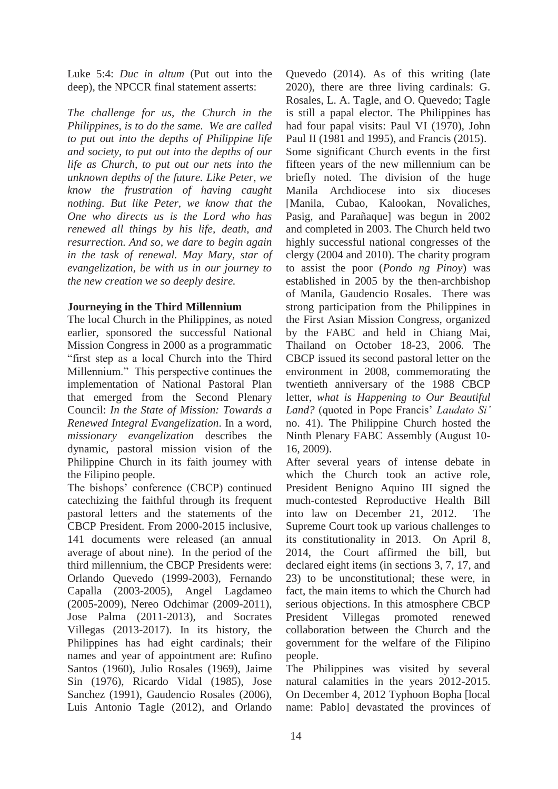Luke 5:4: *Duc in altum* (Put out into the deep), the NPCCR final statement asserts:

*The challenge for us, the Church in the Philippines, is to do the same. We are called to put out into the depths of Philippine life and society, to put out into the depths of our life as Church, to put out our nets into the unknown depths of the future. Like Peter, we know the frustration of having caught nothing. But like Peter, we know that the One who directs us is the Lord who has renewed all things by his life, death, and resurrection. And so, we dare to begin again in the task of renewal. May Mary, star of evangelization, be with us in our journey to the new creation we so deeply desire.* 

## **Journeying in the Third Millennium**

The local Church in the Philippines, as noted earlier, sponsored the successful National Mission Congress in 2000 as a programmatic "first step as a local Church into the Third Millennium." This perspective continues the implementation of National Pastoral Plan that emerged from the Second Plenary Council: *In the State of Mission: Towards a Renewed Integral Evangelization*. In a word, *missionary evangelization* describes the dynamic, pastoral mission vision of the Philippine Church in its faith journey with the Filipino people.

The bishops' conference (CBCP) continued catechizing the faithful through its frequent pastoral letters and the statements of the CBCP President. From 2000-2015 inclusive, 141 documents were released (an annual average of about nine). In the period of the third millennium, the CBCP Presidents were: Orlando Quevedo (1999-2003), Fernando Capalla (2003-2005), Angel Lagdameo (2005-2009), Nereo Odchimar (2009-2011), Jose Palma (2011-2013), and Socrates Villegas (2013-2017). In its history, the Philippines has had eight cardinals; their names and year of appointment are: Rufino Santos (1960), Julio Rosales (1969), Jaime Sin (1976), Ricardo Vidal (1985), Jose Sanchez (1991), Gaudencio Rosales (2006), Luis Antonio Tagle (2012), and Orlando

Quevedo (2014). As of this writing (late 2020), there are three living cardinals: G. Rosales, L. A. Tagle, and O. Quevedo; Tagle is still a papal elector. The Philippines has had four papal visits: Paul VI (1970), John Paul II (1981 and 1995), and Francis (2015). Some significant Church events in the first fifteen years of the new millennium can be briefly noted. The division of the huge Manila Archdiocese into six dioceses [Manila, Cubao, Kalookan, Novaliches, Pasig, and Parañaque] was begun in 2002 and completed in 2003. The Church held two highly successful national congresses of the clergy (2004 and 2010). The charity program to assist the poor (*Pondo ng Pinoy*) was established in 2005 by the then-archbishop of Manila, Gaudencio Rosales. There was strong participation from the Philippines in the First Asian Mission Congress, organized by the FABC and held in Chiang Mai, Thailand on October 18-23, 2006. The CBCP issued its second pastoral letter on the environment in 2008, commemorating the twentieth anniversary of the 1988 CBCP letter, *what is Happening to Our Beautiful Land?* (quoted in Pope Francis' *Laudato Si'* no. 41). The Philippine Church hosted the Ninth Plenary FABC Assembly (August 10- 16, 2009).

After several years of intense debate in which the Church took an active role, President Benigno Aquino III signed the much-contested Reproductive Health Bill into law on December 21, 2012. The Supreme Court took up various challenges to its constitutionality in 2013. On April 8, 2014, the Court affirmed the bill, but declared eight items (in sections 3, 7, 17, and 23) to be unconstitutional; these were, in fact, the main items to which the Church had serious objections. In this atmosphere CBCP President Villegas promoted renewed collaboration between the Church and the government for the welfare of the Filipino people.

The Philippines was visited by several natural calamities in the years 2012-2015. On December 4, 2012 Typhoon Bopha [local name: Pablo] devastated the provinces of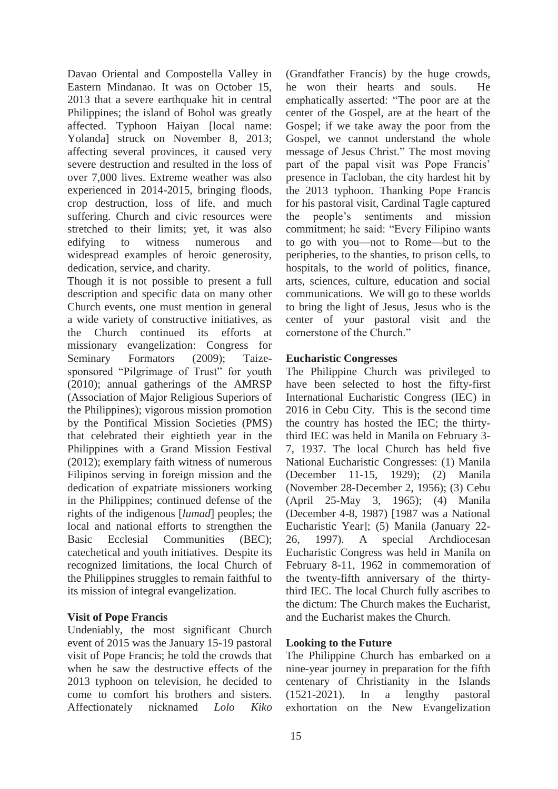Davao Oriental and Compostella Valley in Eastern Mindanao. It was on October 15, 2013 that a severe earthquake hit in central Philippines; the island of Bohol was greatly affected. Typhoon Haiyan [local name: Yolanda] struck on November 8, 2013; affecting several provinces, it caused very severe destruction and resulted in the loss of over 7,000 lives. Extreme weather was also experienced in 2014-2015, bringing floods, crop destruction, loss of life, and much suffering. Church and civic resources were stretched to their limits; yet, it was also edifying to witness numerous and widespread examples of heroic generosity, dedication, service, and charity.

Though it is not possible to present a full description and specific data on many other Church events, one must mention in general a wide variety of constructive initiatives, as the Church continued its efforts at missionary evangelization: Congress for Seminary Formators (2009); Taizesponsored "Pilgrimage of Trust" for youth (2010); annual gatherings of the AMRSP (Association of Major Religious Superiors of the Philippines); vigorous mission promotion by the Pontifical Mission Societies (PMS) that celebrated their eightieth year in the Philippines with a Grand Mission Festival (2012); exemplary faith witness of numerous Filipinos serving in foreign mission and the dedication of expatriate missioners working in the Philippines; continued defense of the rights of the indigenous [*lumad*] peoples; the local and national efforts to strengthen the Basic Ecclesial Communities (BEC); catechetical and youth initiatives. Despite its recognized limitations, the local Church of the Philippines struggles to remain faithful to its mission of integral evangelization.

## **Visit of Pope Francis**

Undeniably, the most significant Church event of 2015 was the January 15-19 pastoral visit of Pope Francis; he told the crowds that when he saw the destructive effects of the 2013 typhoon on television, he decided to come to comfort his brothers and sisters. Affectionately nicknamed *Lolo Kiko* (Grandfather Francis) by the huge crowds, he won their hearts and souls. He emphatically asserted: "The poor are at the center of the Gospel, are at the heart of the Gospel; if we take away the poor from the Gospel, we cannot understand the whole message of Jesus Christ." The most moving part of the papal visit was Pope Francis' presence in Tacloban, the city hardest hit by the 2013 typhoon. Thanking Pope Francis for his pastoral visit, Cardinal Tagle captured the people's sentiments and mission commitment; he said: "Every Filipino wants to go with you—not to Rome—but to the peripheries, to the shanties, to prison cells, to hospitals, to the world of politics, finance, arts, sciences, culture, education and social communications. We will go to these worlds to bring the light of Jesus, Jesus who is the center of your pastoral visit and the cornerstone of the Church."

#### **Eucharistic Congresses**

The Philippine Church was privileged to have been selected to host the fifty-first International Eucharistic Congress (IEC) in 2016 in Cebu City. This is the second time the country has hosted the IEC; the thirtythird IEC was held in Manila on February 3- 7, 1937. The local Church has held five National Eucharistic Congresses: (1) Manila (December 11-15, 1929); (2) Manila (November 28-December 2, 1956); (3) Cebu (April 25-May 3, 1965); (4) Manila (December 4-8, 1987) [1987 was a National Eucharistic Year]; (5) Manila (January 22- 26, 1997). A special Archdiocesan Eucharistic Congress was held in Manila on February 8-11, 1962 in commemoration of the twenty-fifth anniversary of the thirtythird IEC. The local Church fully ascribes to the dictum: The Church makes the Eucharist, and the Eucharist makes the Church.

#### **Looking to the Future**

The Philippine Church has embarked on a nine-year journey in preparation for the fifth centenary of Christianity in the Islands (1521-2021). In a lengthy pastoral exhortation on the New Evangelization